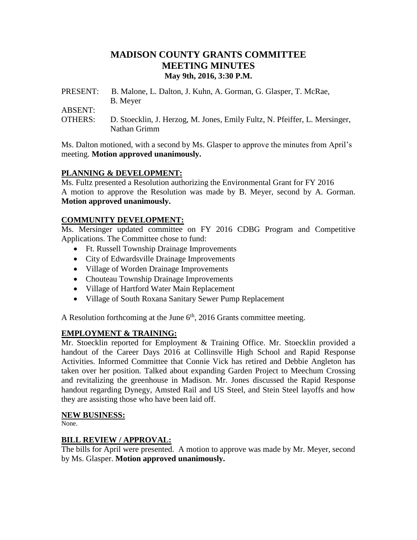# **MADISON COUNTY GRANTS COMMITTEE MEETING MINUTES May 9th, 2016, 3:30 P.M.**

PRESENT: B. Malone, L. Dalton, J. Kuhn, A. Gorman, G. Glasper, T. McRae, B. Meyer

ABSENT:

OTHERS: D. Stoecklin, J. Herzog, M. Jones, Emily Fultz, N. Pfeiffer, L. Mersinger, Nathan Grimm

Ms. Dalton motioned, with a second by Ms. Glasper to approve the minutes from April's meeting. **Motion approved unanimously.**

# **PLANNING & DEVELOPMENT:**

Ms. Fultz presented a Resolution authorizing the Environmental Grant for FY 2016 A motion to approve the Resolution was made by B. Meyer, second by A. Gorman. **Motion approved unanimously.**

# **COMMUNITY DEVELOPMENT:**

Ms. Mersinger updated committee on FY 2016 CDBG Program and Competitive Applications. The Committee chose to fund:

- Ft. Russell Township Drainage Improvements
- City of Edwardsville Drainage Improvements
- Village of Worden Drainage Improvements
- Chouteau Township Drainage Improvements
- Village of Hartford Water Main Replacement
- Village of South Roxana Sanitary Sewer Pump Replacement

A Resolution forthcoming at the June  $6<sup>th</sup>$ , 2016 Grants committee meeting.

### **EMPLOYMENT & TRAINING:**

Mr. Stoecklin reported for Employment & Training Office. Mr. Stoecklin provided a handout of the Career Days 2016 at Collinsville High School and Rapid Response Activities. Informed Committee that Connie Vick has retired and Debbie Angleton has taken over her position. Talked about expanding Garden Project to Meechum Crossing and revitalizing the greenhouse in Madison. Mr. Jones discussed the Rapid Response handout regarding Dynegy, Amsted Rail and US Steel, and Stein Steel layoffs and how they are assisting those who have been laid off.

### **NEW BUSINESS:**

None.

### **BILL REVIEW / APPROVAL:**

The bills for April were presented. A motion to approve was made by Mr. Meyer, second by Ms. Glasper. **Motion approved unanimously.**